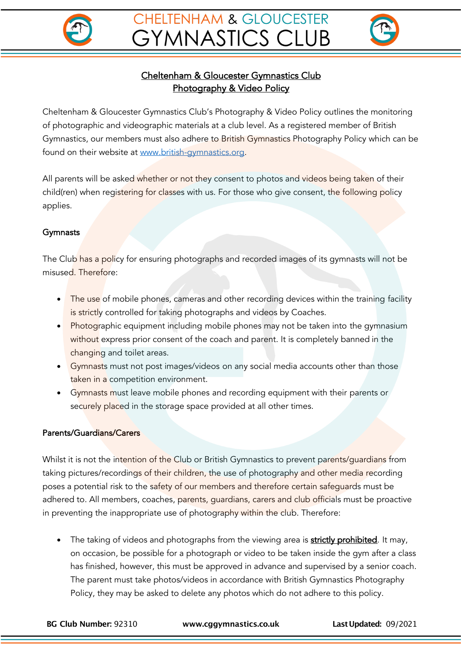



# Cheltenham & Gloucester Gymnastics Club Photography & Video Policy

Cheltenham & Gloucester Gymnastics Club's Photography & Video Policy outlines the monitoring of photographic and videographic materials at a club level. As a registered member of British Gymnastics, our members must also adhere to British Gymnastics Photography Policy which can be found on their website at www.british-gymnastics.org.

All parents will be asked whether or not they consent to photos and videos being taken of their child(ren) when registering for classes with us. For those who give consent, the following policy applies.

### **Gymnasts**

The Club has a policy for ensuring photographs and recorded images of its gymnasts will not be misused. Therefore:

- The use of mobile phones, cameras and other recording devices within the training facility is strictly controlled for taking photographs and videos by Coaches.
- Photographic equipment including mobile phones may not be taken into the gymnasium without express prior consent of the coach and parent. It is completely banned in the changing and toilet areas.
- Gymnasts must not post images/videos on any social media accounts other than those taken in a competition environment.
- Gymnasts must leave mobile phones and recording equipment with their parents or securely placed in the storage space provided at all other times.

### Parents/Guardians/Carers

Whilst it is not the intention of the Club or British Gymnastics to prevent parents/guardians from taking pictures/recordings of their children, the use of photography and other media recording poses a potential risk to the safety of our members and therefore certain safeguards must be adhered to. All members, coaches, parents, guardians, carers and club officials must be proactive in preventing the inappropriate use of photography within the club. Therefore:

• The taking of videos and photographs from the viewing area is **strictly prohibited**. It may, on occasion, be possible for a photograph or video to be taken inside the gym after a class has finished, however, this must be approved in advance and supervised by a senior coach. The parent must take photos/videos in accordance with British Gymnastics Photography Policy, they may be asked to delete any photos which do not adhere to this policy.

**BG Club Number:** 92310 **www.cggymnastics.co.uk LastUpdated:** 09/2021